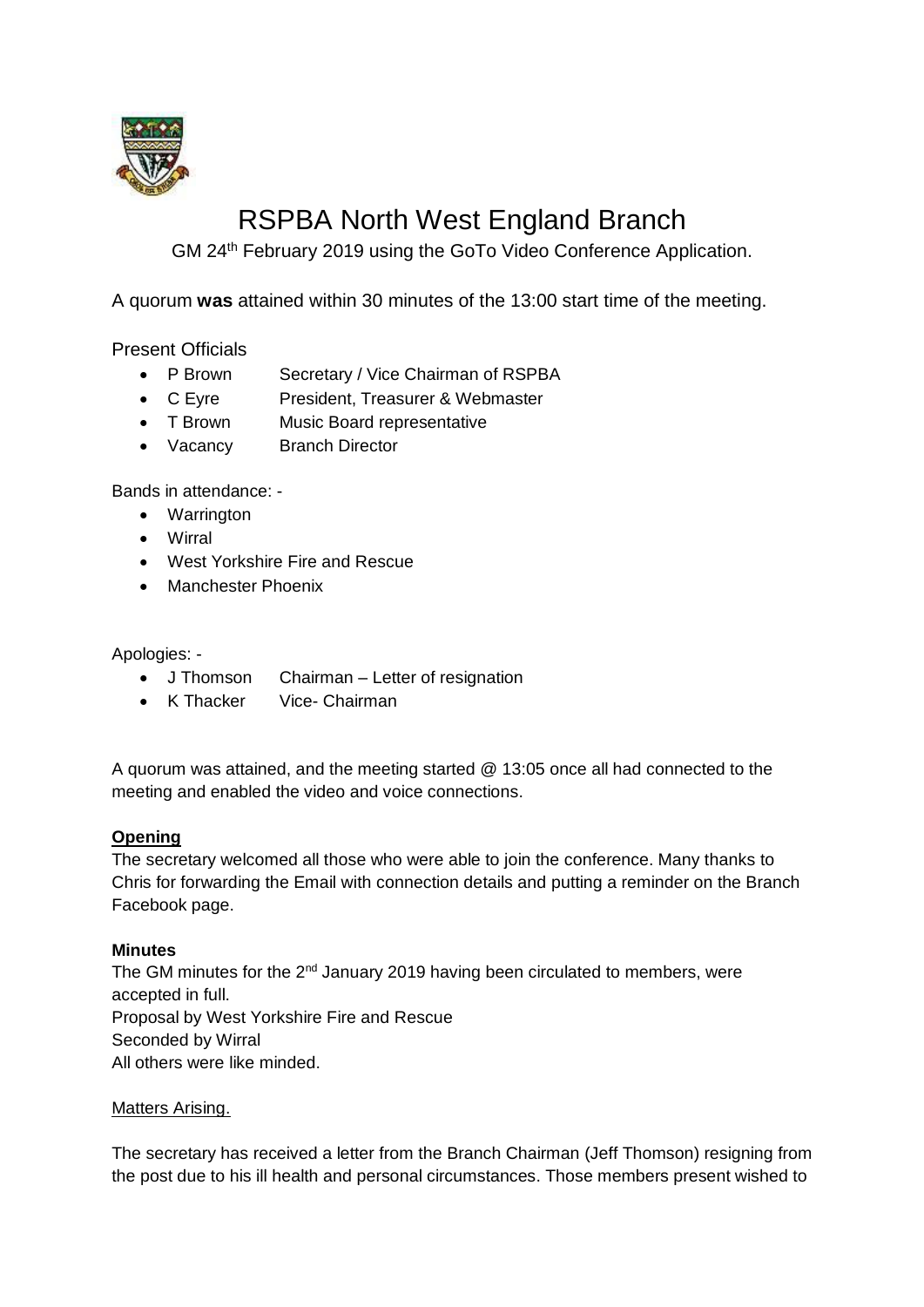

# RSPBA North West England Branch

GM 24th February 2019 using the GoTo Video Conference Application.

A quorum **was** attained within 30 minutes of the 13:00 start time of the meeting.

Present Officials

- P Brown Secretary / Vice Chairman of RSPBA
- C Eyre President, Treasurer & Webmaster
- T Brown Music Board representative
- Vacancy Branch Director

Bands in attendance: -

- Warrington
- Wirral
- West Yorkshire Fire and Rescue
- Manchester Phoenix

Apologies: -

- J Thomson Chairman Letter of resignation
- K Thacker Vice- Chairman

A quorum was attained, and the meeting started @ 13:05 once all had connected to the meeting and enabled the video and voice connections.

## **Opening**

The secretary welcomed all those who were able to join the conference. Many thanks to Chris for forwarding the Email with connection details and putting a reminder on the Branch Facebook page.

#### **Minutes**

The GM minutes for the 2<sup>nd</sup> January 2019 having been circulated to members, were accepted in full. Proposal by West Yorkshire Fire and Rescue Seconded by Wirral All others were like minded.

#### Matters Arising.

The secretary has received a letter from the Branch Chairman (Jeff Thomson) resigning from the post due to his ill health and personal circumstances. Those members present wished to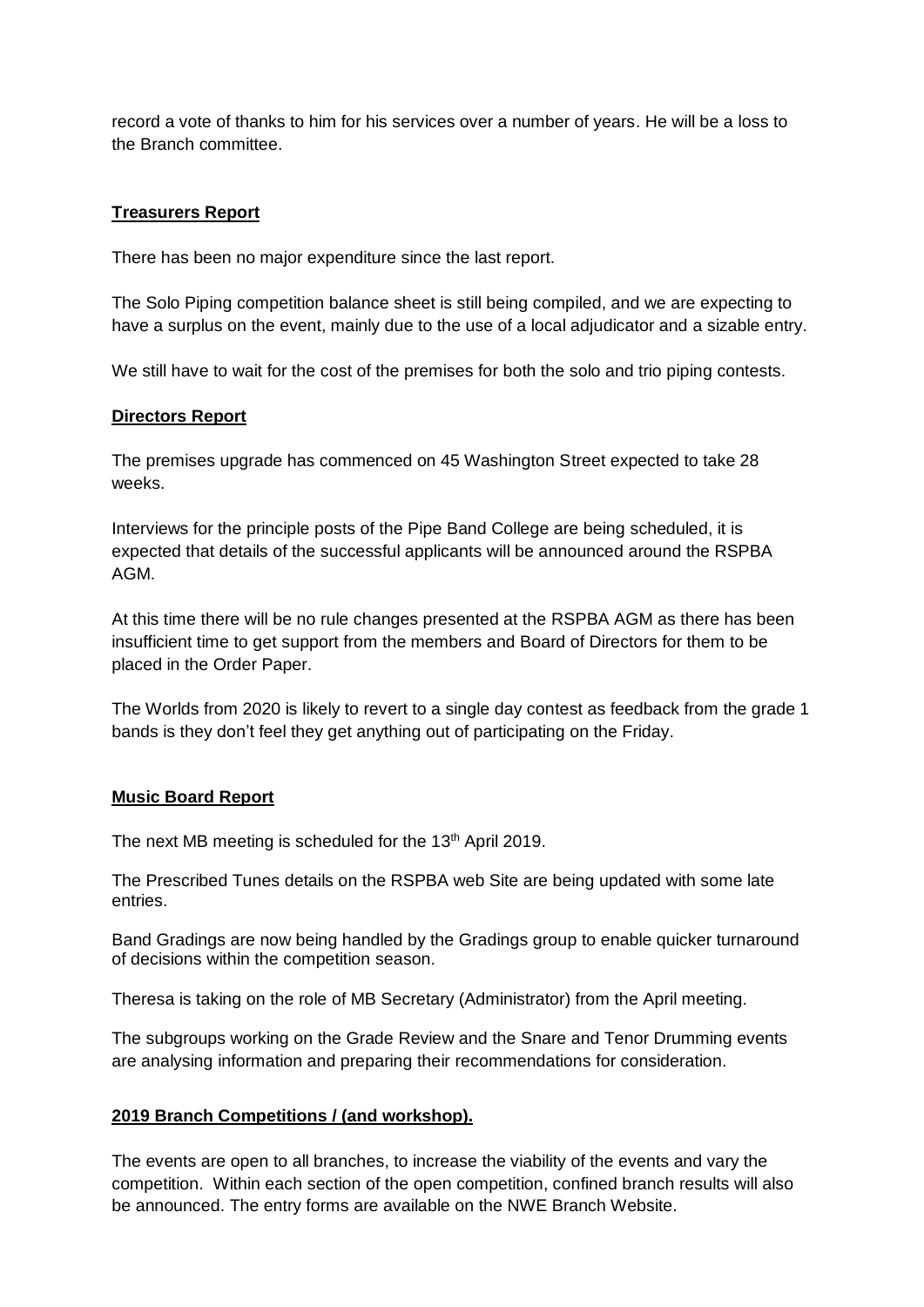record a vote of thanks to him for his services over a number of years. He will be a loss to the Branch committee.

#### **Treasurers Report**

There has been no major expenditure since the last report.

The Solo Piping competition balance sheet is still being compiled, and we are expecting to have a surplus on the event, mainly due to the use of a local adjudicator and a sizable entry.

We still have to wait for the cost of the premises for both the solo and trio piping contests.

#### **Directors Report**

The premises upgrade has commenced on 45 Washington Street expected to take 28 weeks.

Interviews for the principle posts of the Pipe Band College are being scheduled, it is expected that details of the successful applicants will be announced around the RSPBA AGM.

At this time there will be no rule changes presented at the RSPBA AGM as there has been insufficient time to get support from the members and Board of Directors for them to be placed in the Order Paper.

The Worlds from 2020 is likely to revert to a single day contest as feedback from the grade 1 bands is they don't feel they get anything out of participating on the Friday.

#### **Music Board Report**

The next MB meeting is scheduled for the 13<sup>th</sup> April 2019.

The Prescribed Tunes details on the RSPBA web Site are being updated with some late entries.

Band Gradings are now being handled by the Gradings group to enable quicker turnaround of decisions within the competition season.

Theresa is taking on the role of MB Secretary (Administrator) from the April meeting.

The subgroups working on the Grade Review and the Snare and Tenor Drumming events are analysing information and preparing their recommendations for consideration.

#### **2019 Branch Competitions / (and workshop).**

The events are open to all branches, to increase the viability of the events and vary the competition. Within each section of the open competition, confined branch results will also be announced. The entry forms are available on the NWE Branch Website.